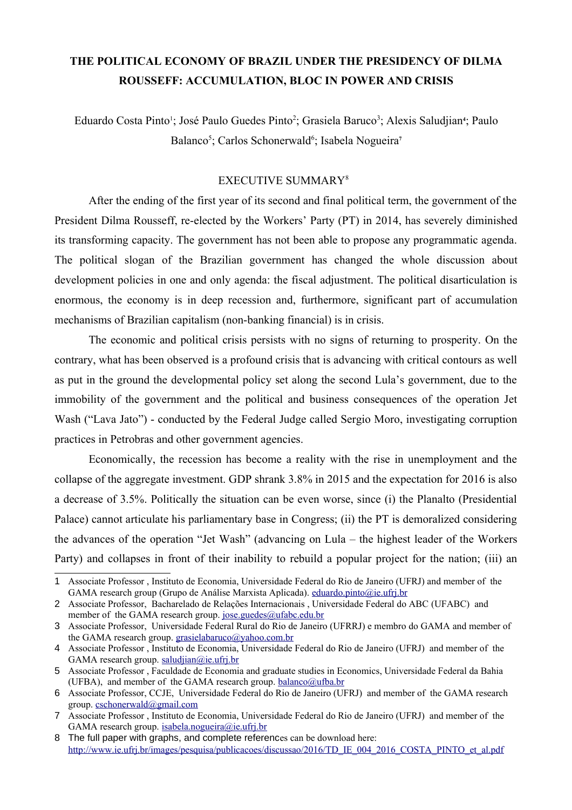## **THE POLITICAL ECONOMY OF BRAZIL UNDER THE PRESIDENCY OF DILMA ROUSSEFF: ACCUMULATION, BLOC IN POWER AND CRISIS**

Eduardo Costa Pinto<sup>[1](#page-0-0)</sup>; José Paulo Guedes Pinto<sup>[2](#page-0-1)</sup>; Grasiela Baruco<sup>[3](#page-0-2)</sup>; Alexis Saludjian<sup>[4](#page-0-3)</sup>; Paulo Balanco<sup>[5](#page-0-4)</sup>; Carlos Schonerwald<sup>[6](#page-0-5)</sup>; Isabela Nogueira<sup>[7](#page-0-6)</sup>

## EXECUTIVE SUMMARY[8](#page-0-7)

After the ending of the first year of its second and final political term, the government of the President Dilma Rousseff, re-elected by the Workers' Party (PT) in 2014, has severely diminished its transforming capacity. The government has not been able to propose any programmatic agenda. The political slogan of the Brazilian government has changed the whole discussion about development policies in one and only agenda: the fiscal adjustment. The political disarticulation is enormous, the economy is in deep recession and, furthermore, significant part of accumulation mechanisms of Brazilian capitalism (non-banking financial) is in crisis.

The economic and political crisis persists with no signs of returning to prosperity. On the contrary, what has been observed is a profound crisis that is advancing with critical contours as well as put in the ground the developmental policy set along the second Lula's government, due to the immobility of the government and the political and business consequences of the operation Jet Wash ("Lava Jato") - conducted by the Federal Judge called Sergio Moro, investigating corruption practices in Petrobras and other government agencies.

Economically, the recession has become a reality with the rise in unemployment and the collapse of the aggregate investment. GDP shrank 3.8% in 2015 and the expectation for 2016 is also a decrease of 3.5%. Politically the situation can be even worse, since (i) the Planalto (Presidential Palace) cannot articulate his parliamentary base in Congress; (ii) the PT is demoralized considering the advances of the operation "Jet Wash" (advancing on Lula – the highest leader of the Workers Party) and collapses in front of their inability to rebuild a popular project for the nation; (iii) an

<span id="page-0-0"></span><sup>1</sup> Associate Professor , Instituto de Economia, Universidade Federal do Rio de Janeiro (UFRJ) and member of the GAMA research group (Grupo de Análise Marxista Aplicada). [eduardo.pinto@ie.ufrj.br](mailto:eduardo.pinto@ie.ufrj.br)

<span id="page-0-1"></span><sup>2</sup> Associate Professor, Bacharelado de Relações Internacionais , Universidade Federal do ABC (UFABC) and member of the GAMA research group. [jose.guedes@ufabc.edu.br](mailto:jose.guedes@ufabc.edu.br)

<span id="page-0-2"></span><sup>3</sup> Associate Professor, Universidade Federal Rural do Rio de Janeiro (UFRRJ) e membro do GAMA and member of the GAMA research group. [grasielabaruco@yahoo.com.br](mailto:grasielabaruco@yahoo.com.br)

<span id="page-0-3"></span><sup>4</sup> Associate Professor , Instituto de Economia, Universidade Federal do Rio de Janeiro (UFRJ) and member of the GAMA research group. [saludjian@ie.ufrj.br](mailto:saludjian@ie.ufrj.br)

<span id="page-0-4"></span><sup>5</sup> Associate Professor , Faculdade de Economia and graduate studies in Economics, Universidade Federal da Bahia (UFBA), and member of the GAMA research group.  $balanco@utha.br$ 

<span id="page-0-5"></span><sup>6</sup> Associate Professor, CCJE, Universidade Federal do Rio de Janeiro (UFRJ) and member of the GAMA research group. [cschonerwald@gmail.com](mailto:cschonerwald@gmail.com)

<span id="page-0-6"></span><sup>7</sup> Associate Professor , Instituto de Economia, Universidade Federal do Rio de Janeiro (UFRJ) and member of the GAMA research group. [isabela.nogueira@ie.ufrj.br](mailto:isabela.nogueira@ie.ufrj.br)

<span id="page-0-7"></span><sup>8</sup> The full paper with graphs, and complete references can be download here: [http://www.ie.ufrj.br/images/pesquisa/publicacoes/discussao/2016/TD\\_IE\\_004\\_2016\\_COSTA\\_PINTO\\_et\\_al.pdf](http://www.ie.ufrj.br/images/pesquisa/publicacoes/discussao/2016/TD_IE_004_2016_COSTA_PINTO_et_al.pdf)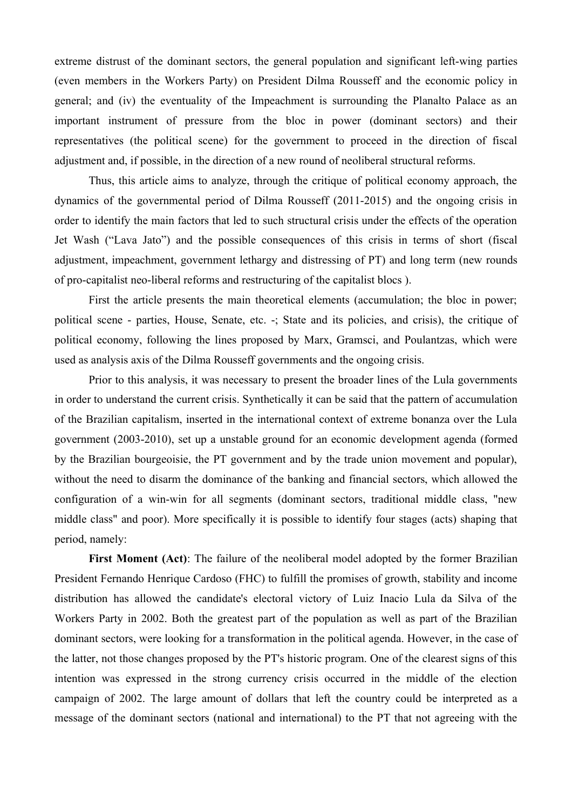extreme distrust of the dominant sectors, the general population and significant left-wing parties (even members in the Workers Party) on President Dilma Rousseff and the economic policy in general; and (iv) the eventuality of the Impeachment is surrounding the Planalto Palace as an important instrument of pressure from the bloc in power (dominant sectors) and their representatives (the political scene) for the government to proceed in the direction of fiscal adjustment and, if possible, in the direction of a new round of neoliberal structural reforms.

Thus, this article aims to analyze, through the critique of political economy approach, the dynamics of the governmental period of Dilma Rousseff (2011-2015) and the ongoing crisis in order to identify the main factors that led to such structural crisis under the effects of the operation Jet Wash ("Lava Jato") and the possible consequences of this crisis in terms of short (fiscal adjustment, impeachment, government lethargy and distressing of PT) and long term (new rounds of pro-capitalist neo-liberal reforms and restructuring of the capitalist blocs ).

First the article presents the main theoretical elements (accumulation; the bloc in power; political scene - parties, House, Senate, etc. -; State and its policies, and crisis), the critique of political economy, following the lines proposed by Marx, Gramsci, and Poulantzas, which were used as analysis axis of the Dilma Rousseff governments and the ongoing crisis.

Prior to this analysis, it was necessary to present the broader lines of the Lula governments in order to understand the current crisis. Synthetically it can be said that the pattern of accumulation of the Brazilian capitalism, inserted in the international context of extreme bonanza over the Lula government (2003-2010), set up a unstable ground for an economic development agenda (formed by the Brazilian bourgeoisie, the PT government and by the trade union movement and popular), without the need to disarm the dominance of the banking and financial sectors, which allowed the configuration of a win-win for all segments (dominant sectors, traditional middle class, "new middle class" and poor). More specifically it is possible to identify four stages (acts) shaping that period, namely:

**First Moment (Act)**: The failure of the neoliberal model adopted by the former Brazilian President Fernando Henrique Cardoso (FHC) to fulfill the promises of growth, stability and income distribution has allowed the candidate's electoral victory of Luiz Inacio Lula da Silva of the Workers Party in 2002. Both the greatest part of the population as well as part of the Brazilian dominant sectors, were looking for a transformation in the political agenda. However, in the case of the latter, not those changes proposed by the PT's historic program. One of the clearest signs of this intention was expressed in the strong currency crisis occurred in the middle of the election campaign of 2002. The large amount of dollars that left the country could be interpreted as a message of the dominant sectors (national and international) to the PT that not agreeing with the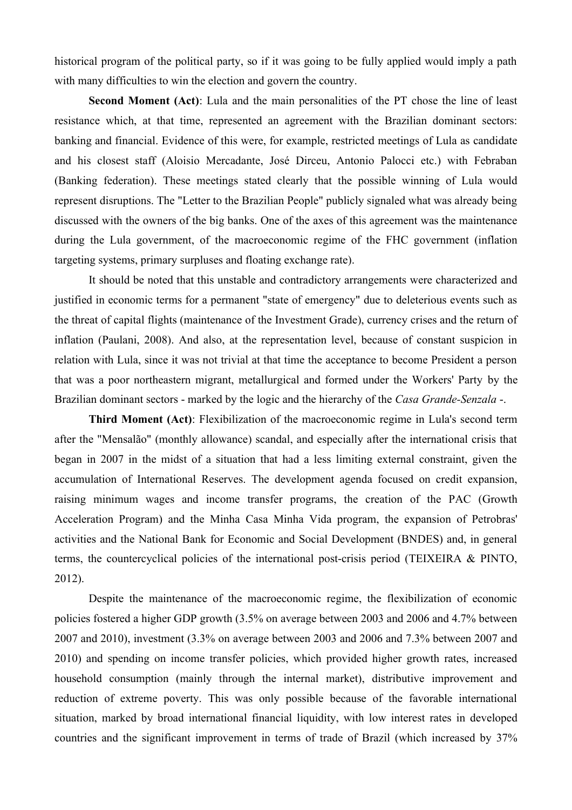historical program of the political party, so if it was going to be fully applied would imply a path with many difficulties to win the election and govern the country.

**Second Moment (Act)**: Lula and the main personalities of the PT chose the line of least resistance which, at that time, represented an agreement with the Brazilian dominant sectors: banking and financial. Evidence of this were, for example, restricted meetings of Lula as candidate and his closest staff (Aloisio Mercadante, José Dirceu, Antonio Palocci etc.) with Febraban (Banking federation). These meetings stated clearly that the possible winning of Lula would represent disruptions. The "Letter to the Brazilian People" publicly signaled what was already being discussed with the owners of the big banks. One of the axes of this agreement was the maintenance during the Lula government, of the macroeconomic regime of the FHC government (inflation targeting systems, primary surpluses and floating exchange rate).

It should be noted that this unstable and contradictory arrangements were characterized and justified in economic terms for a permanent "state of emergency" due to deleterious events such as the threat of capital flights (maintenance of the Investment Grade), currency crises and the return of inflation (Paulani, 2008). And also, at the representation level, because of constant suspicion in relation with Lula, since it was not trivial at that time the acceptance to become President a person that was a poor northeastern migrant, metallurgical and formed under the Workers' Party by the Brazilian dominant sectors - marked by the logic and the hierarchy of the *Casa Grande-Senzala* -.

**Third Moment (Act)**: Flexibilization of the macroeconomic regime in Lula's second term after the "Mensalão" (monthly allowance) scandal, and especially after the international crisis that began in 2007 in the midst of a situation that had a less limiting external constraint, given the accumulation of International Reserves. The development agenda focused on credit expansion, raising minimum wages and income transfer programs, the creation of the PAC (Growth Acceleration Program) and the Minha Casa Minha Vida program, the expansion of Petrobras' activities and the National Bank for Economic and Social Development (BNDES) and, in general terms, the countercyclical policies of the international post-crisis period (TEIXEIRA & PINTO, 2012).

Despite the maintenance of the macroeconomic regime, the flexibilization of economic policies fostered a higher GDP growth (3.5% on average between 2003 and 2006 and 4.7% between 2007 and 2010), investment (3.3% on average between 2003 and 2006 and 7.3% between 2007 and 2010) and spending on income transfer policies, which provided higher growth rates, increased household consumption (mainly through the internal market), distributive improvement and reduction of extreme poverty. This was only possible because of the favorable international situation, marked by broad international financial liquidity, with low interest rates in developed countries and the significant improvement in terms of trade of Brazil (which increased by 37%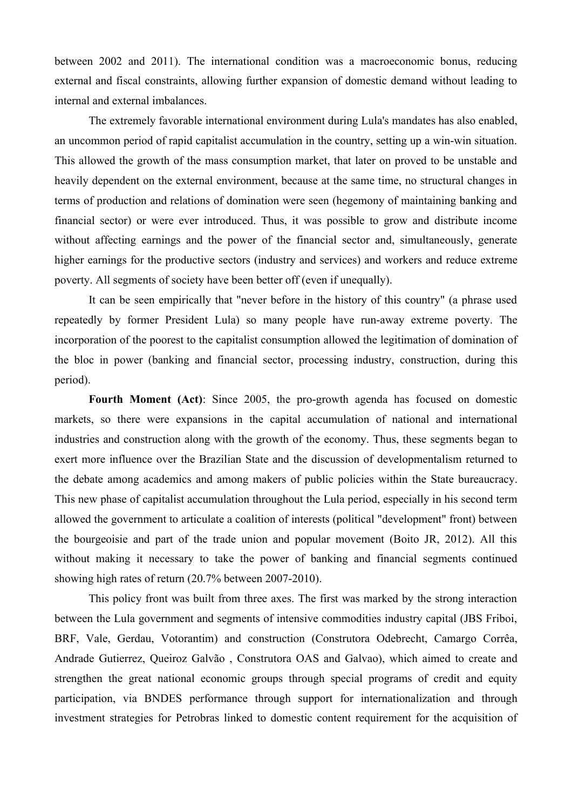between 2002 and 2011). The international condition was a macroeconomic bonus, reducing external and fiscal constraints, allowing further expansion of domestic demand without leading to internal and external imbalances.

The extremely favorable international environment during Lula's mandates has also enabled, an uncommon period of rapid capitalist accumulation in the country, setting up a win-win situation. This allowed the growth of the mass consumption market, that later on proved to be unstable and heavily dependent on the external environment, because at the same time, no structural changes in terms of production and relations of domination were seen (hegemony of maintaining banking and financial sector) or were ever introduced. Thus, it was possible to grow and distribute income without affecting earnings and the power of the financial sector and, simultaneously, generate higher earnings for the productive sectors (industry and services) and workers and reduce extreme poverty. All segments of society have been better off (even if unequally).

It can be seen empirically that "never before in the history of this country" (a phrase used repeatedly by former President Lula) so many people have run-away extreme poverty. The incorporation of the poorest to the capitalist consumption allowed the legitimation of domination of the bloc in power (banking and financial sector, processing industry, construction, during this period).

**Fourth Moment (Act)**: Since 2005, the pro-growth agenda has focused on domestic markets, so there were expansions in the capital accumulation of national and international industries and construction along with the growth of the economy. Thus, these segments began to exert more influence over the Brazilian State and the discussion of developmentalism returned to the debate among academics and among makers of public policies within the State bureaucracy. This new phase of capitalist accumulation throughout the Lula period, especially in his second term allowed the government to articulate a coalition of interests (political "development" front) between the bourgeoisie and part of the trade union and popular movement (Boito JR, 2012). All this without making it necessary to take the power of banking and financial segments continued showing high rates of return (20.7% between 2007-2010).

This policy front was built from three axes. The first was marked by the strong interaction between the Lula government and segments of intensive commodities industry capital (JBS Friboi, BRF, Vale, Gerdau, Votorantim) and construction (Construtora Odebrecht, Camargo Corrêa, Andrade Gutierrez, Queiroz Galvão , Construtora OAS and Galvao), which aimed to create and strengthen the great national economic groups through special programs of credit and equity participation, via BNDES performance through support for internationalization and through investment strategies for Petrobras linked to domestic content requirement for the acquisition of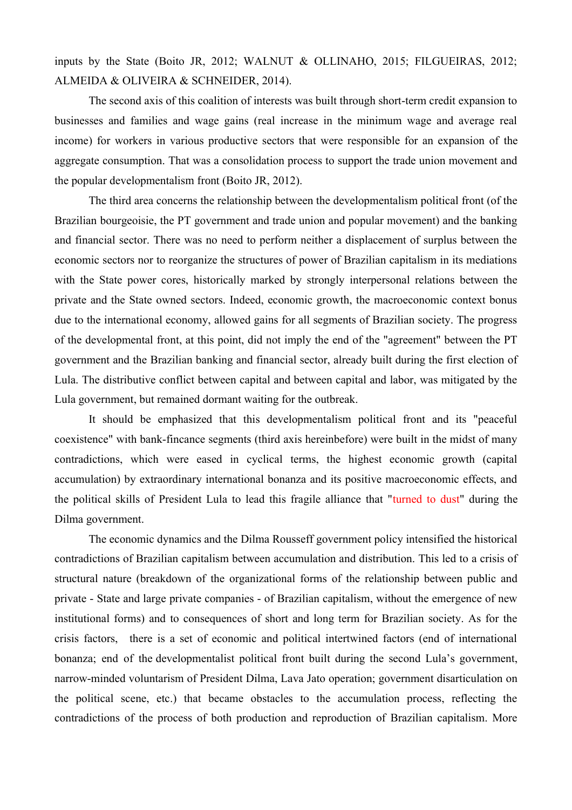inputs by the State (Boito JR, 2012; WALNUT & OLLINAHO, 2015; FILGUEIRAS, 2012; ALMEIDA & OLIVEIRA & SCHNEIDER, 2014).

The second axis of this coalition of interests was built through short-term credit expansion to businesses and families and wage gains (real increase in the minimum wage and average real income) for workers in various productive sectors that were responsible for an expansion of the aggregate consumption. That was a consolidation process to support the trade union movement and the popular developmentalism front (Boito JR, 2012).

The third area concerns the relationship between the developmentalism political front (of the Brazilian bourgeoisie, the PT government and trade union and popular movement) and the banking and financial sector. There was no need to perform neither a displacement of surplus between the economic sectors nor to reorganize the structures of power of Brazilian capitalism in its mediations with the State power cores, historically marked by strongly interpersonal relations between the private and the State owned sectors. Indeed, economic growth, the macroeconomic context bonus due to the international economy, allowed gains for all segments of Brazilian society. The progress of the developmental front, at this point, did not imply the end of the "agreement" between the PT government and the Brazilian banking and financial sector, already built during the first election of Lula. The distributive conflict between capital and between capital and labor, was mitigated by the Lula government, but remained dormant waiting for the outbreak.

It should be emphasized that this developmentalism political front and its "peaceful coexistence" with bank-fincance segments (third axis hereinbefore) were built in the midst of many contradictions, which were eased in cyclical terms, the highest economic growth (capital accumulation) by extraordinary international bonanza and its positive macroeconomic effects, and the political skills of President Lula to lead this fragile alliance that "turned to dust" during the Dilma government.

The economic dynamics and the Dilma Rousseff government policy intensified the historical contradictions of Brazilian capitalism between accumulation and distribution. This led to a crisis of structural nature (breakdown of the organizational forms of the relationship between public and private - State and large private companies - of Brazilian capitalism, without the emergence of new institutional forms) and to consequences of short and long term for Brazilian society. As for the crisis factors, there is a set of economic and political intertwined factors (end of international bonanza; end of the developmentalist political front built during the second Lula's government, narrow-minded voluntarism of President Dilma, Lava Jato operation; government disarticulation on the political scene, etc.) that became obstacles to the accumulation process, reflecting the contradictions of the process of both production and reproduction of Brazilian capitalism. More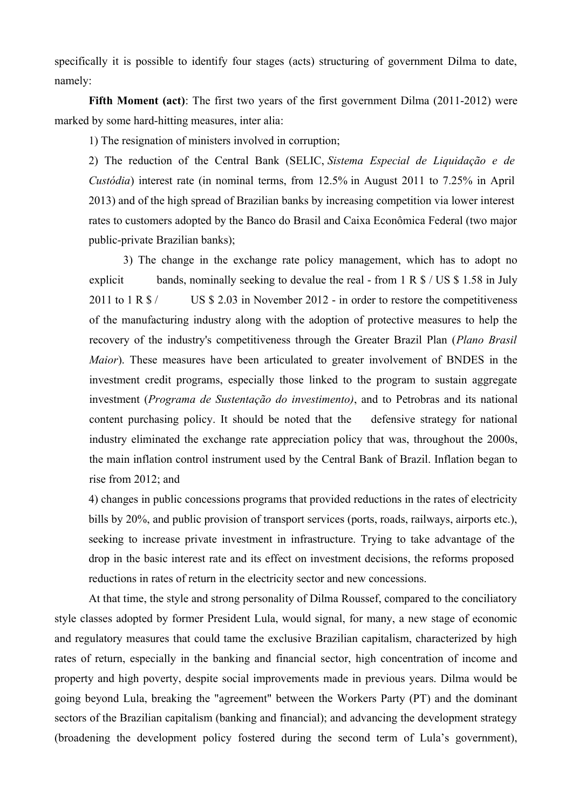specifically it is possible to identify four stages (acts) structuring of government Dilma to date, namely:

**Fifth Moment (act)**: The first two years of the first government Dilma (2011-2012) were marked by some hard-hitting measures, inter alia:

1) The resignation of ministers involved in corruption;

2) The reduction of the Central Bank (SELIC, *Sistema Especial de Liquidação e de Custódia*) interest rate (in nominal terms, from 12.5% in August 2011 to 7.25% in April 2013) and of the high spread of Brazilian banks by increasing competition via lower interest rates to customers adopted by the Banco do Brasil and Caixa Econômica Federal (two major public-private Brazilian banks);

3) The change in the exchange rate policy management, which has to adopt no explicit bands, nominally seeking to devalue the real - from  $1 \text{ R } $/ \text{ US } $ 1.58 \text{ in July}$ 2011 to 1 R \$ / US \$ 2.03 in November 2012 - in order to restore the competitiveness of the manufacturing industry along with the adoption of protective measures to help the recovery of the industry's competitiveness through the Greater Brazil Plan (*Plano Brasil Maior*). These measures have been articulated to greater involvement of BNDES in the investment credit programs, especially those linked to the program to sustain aggregate investment (*Programa de Sustentação do investimento)*, and to Petrobras and its national content purchasing policy. It should be noted that the defensive strategy for national industry eliminated the exchange rate appreciation policy that was, throughout the 2000s, the main inflation control instrument used by the Central Bank of Brazil. Inflation began to rise from 2012; and

4) changes in public concessions programs that provided reductions in the rates of electricity bills by 20%, and public provision of transport services (ports, roads, railways, airports etc.), seeking to increase private investment in infrastructure. Trying to take advantage of the drop in the basic interest rate and its effect on investment decisions, the reforms proposed reductions in rates of return in the electricity sector and new concessions.

At that time, the style and strong personality of Dilma Roussef, compared to the conciliatory style classes adopted by former President Lula, would signal, for many, a new stage of economic and regulatory measures that could tame the exclusive Brazilian capitalism, characterized by high rates of return, especially in the banking and financial sector, high concentration of income and property and high poverty, despite social improvements made in previous years. Dilma would be going beyond Lula, breaking the "agreement" between the Workers Party (PT) and the dominant sectors of the Brazilian capitalism (banking and financial); and advancing the development strategy (broadening the development policy fostered during the second term of Lula's government),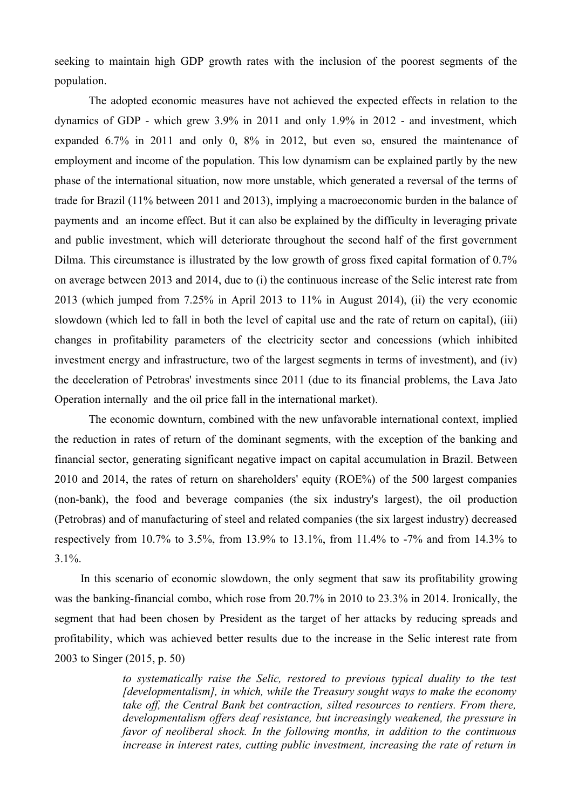seeking to maintain high GDP growth rates with the inclusion of the poorest segments of the population.

The adopted economic measures have not achieved the expected effects in relation to the dynamics of GDP - which grew 3.9% in 2011 and only 1.9% in 2012 - and investment, which expanded 6.7% in 2011 and only 0, 8% in 2012, but even so, ensured the maintenance of employment and income of the population. This low dynamism can be explained partly by the new phase of the international situation, now more unstable, which generated a reversal of the terms of trade for Brazil (11% between 2011 and 2013), implying a macroeconomic burden in the balance of payments and an income effect. But it can also be explained by the difficulty in leveraging private and public investment, which will deteriorate throughout the second half of the first government Dilma. This circumstance is illustrated by the low growth of gross fixed capital formation of 0.7% on average between 2013 and 2014, due to (i) the continuous increase of the Selic interest rate from 2013 (which jumped from 7.25% in April 2013 to 11% in August 2014), (ii) the very economic slowdown (which led to fall in both the level of capital use and the rate of return on capital), (iii) changes in profitability parameters of the electricity sector and concessions (which inhibited investment energy and infrastructure, two of the largest segments in terms of investment), and (iv) the deceleration of Petrobras' investments since 2011 (due to its financial problems, the Lava Jato Operation internally and the oil price fall in the international market).

The economic downturn, combined with the new unfavorable international context, implied the reduction in rates of return of the dominant segments, with the exception of the banking and financial sector, generating significant negative impact on capital accumulation in Brazil. Between 2010 and 2014, the rates of return on shareholders' equity (ROE%) of the 500 largest companies (non-bank), the food and beverage companies (the six industry's largest), the oil production (Petrobras) and of manufacturing of steel and related companies (the six largest industry) decreased respectively from 10.7% to 3.5%, from 13.9% to 13.1%, from 11.4% to -7% and from 14.3% to  $3.1\%$ .

In this scenario of economic slowdown, the only segment that saw its profitability growing was the banking-financial combo, which rose from 20.7% in 2010 to 23.3% in 2014. Ironically, the segment that had been chosen by President as the target of her attacks by reducing spreads and profitability, which was achieved better results due to the increase in the Selic interest rate from 2003 to Singer (2015, p. 50)

> *to systematically raise the Selic, restored to previous typical duality to the test [developmentalism], in which, while the Treasury sought ways to make the economy take off, the Central Bank bet contraction, silted resources to rentiers. From there, developmentalism offers deaf resistance, but increasingly weakened, the pressure in favor of neoliberal shock. In the following months, in addition to the continuous increase in interest rates, cutting public investment, increasing the rate of return in*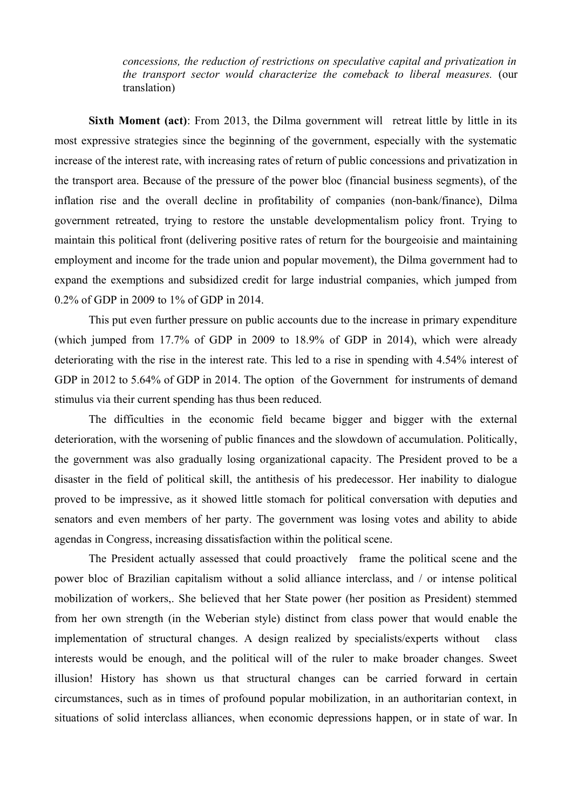*concessions, the reduction of restrictions on speculative capital and privatization in the transport sector would characterize the comeback to liberal measures.* (our translation)

**Sixth Moment (act)**: From 2013, the Dilma government will retreat little by little in its most expressive strategies since the beginning of the government, especially with the systematic increase of the interest rate, with increasing rates of return of public concessions and privatization in the transport area. Because of the pressure of the power bloc (financial business segments), of the inflation rise and the overall decline in profitability of companies (non-bank/finance), Dilma government retreated, trying to restore the unstable developmentalism policy front. Trying to maintain this political front (delivering positive rates of return for the bourgeoisie and maintaining employment and income for the trade union and popular movement), the Dilma government had to expand the exemptions and subsidized credit for large industrial companies, which jumped from 0.2% of GDP in 2009 to 1% of GDP in 2014.

This put even further pressure on public accounts due to the increase in primary expenditure (which jumped from 17.7% of GDP in 2009 to 18.9% of GDP in 2014), which were already deteriorating with the rise in the interest rate. This led to a rise in spending with 4.54% interest of GDP in 2012 to 5.64% of GDP in 2014. The option of the Government for instruments of demand stimulus via their current spending has thus been reduced.

The difficulties in the economic field became bigger and bigger with the external deterioration, with the worsening of public finances and the slowdown of accumulation. Politically, the government was also gradually losing organizational capacity. The President proved to be a disaster in the field of political skill, the antithesis of his predecessor. Her inability to dialogue proved to be impressive, as it showed little stomach for political conversation with deputies and senators and even members of her party. The government was losing votes and ability to abide agendas in Congress, increasing dissatisfaction within the political scene.

The President actually assessed that could proactively frame the political scene and the power bloc of Brazilian capitalism without a solid alliance interclass, and / or intense political mobilization of workers,. She believed that her State power (her position as President) stemmed from her own strength (in the Weberian style) distinct from class power that would enable the implementation of structural changes. A design realized by specialists/experts without class interests would be enough, and the political will of the ruler to make broader changes. Sweet illusion! History has shown us that structural changes can be carried forward in certain circumstances, such as in times of profound popular mobilization, in an authoritarian context, in situations of solid interclass alliances, when economic depressions happen, or in state of war. In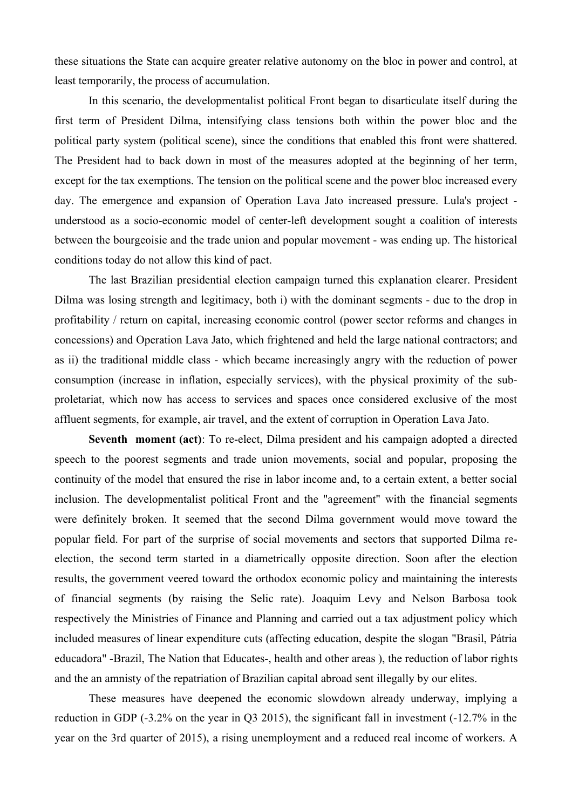these situations the State can acquire greater relative autonomy on the bloc in power and control, at least temporarily, the process of accumulation.

In this scenario, the developmentalist political Front began to disarticulate itself during the first term of President Dilma, intensifying class tensions both within the power bloc and the political party system (political scene), since the conditions that enabled this front were shattered. The President had to back down in most of the measures adopted at the beginning of her term, except for the tax exemptions. The tension on the political scene and the power bloc increased every day. The emergence and expansion of Operation Lava Jato increased pressure. Lula's project understood as a socio-economic model of center-left development sought a coalition of interests between the bourgeoisie and the trade union and popular movement - was ending up. The historical conditions today do not allow this kind of pact.

The last Brazilian presidential election campaign turned this explanation clearer. President Dilma was losing strength and legitimacy, both i) with the dominant segments - due to the drop in profitability / return on capital, increasing economic control (power sector reforms and changes in concessions) and Operation Lava Jato, which frightened and held the large national contractors; and as ii) the traditional middle class - which became increasingly angry with the reduction of power consumption (increase in inflation, especially services), with the physical proximity of the subproletariat, which now has access to services and spaces once considered exclusive of the most affluent segments, for example, air travel, and the extent of corruption in Operation Lava Jato.

**Seventh moment (act)**: To re-elect, Dilma president and his campaign adopted a directed speech to the poorest segments and trade union movements, social and popular, proposing the continuity of the model that ensured the rise in labor income and, to a certain extent, a better social inclusion. The developmentalist political Front and the "agreement" with the financial segments were definitely broken. It seemed that the second Dilma government would move toward the popular field. For part of the surprise of social movements and sectors that supported Dilma reelection, the second term started in a diametrically opposite direction. Soon after the election results, the government veered toward the orthodox economic policy and maintaining the interests of financial segments (by raising the Selic rate). Joaquim Levy and Nelson Barbosa took respectively the Ministries of Finance and Planning and carried out a tax adjustment policy which included measures of linear expenditure cuts (affecting education, despite the slogan "Brasil, Pátria educadora" -Brazil, The Nation that Educates-, health and other areas ), the reduction of labor rights and the an amnisty of the repatriation of Brazilian capital abroad sent illegally by our elites.

These measures have deepened the economic slowdown already underway, implying a reduction in GDP (-3.2% on the year in Q3 2015), the significant fall in investment (-12.7% in the year on the 3rd quarter of 2015), a rising unemployment and a reduced real income of workers. A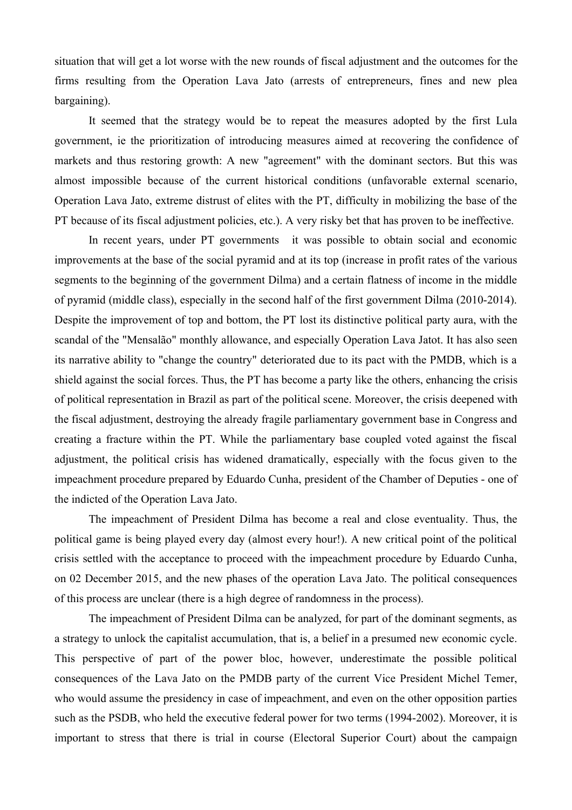situation that will get a lot worse with the new rounds of fiscal adjustment and the outcomes for the firms resulting from the Operation Lava Jato (arrests of entrepreneurs, fines and new plea bargaining).

It seemed that the strategy would be to repeat the measures adopted by the first Lula government, ie the prioritization of introducing measures aimed at recovering the confidence of markets and thus restoring growth: A new "agreement" with the dominant sectors. But this was almost impossible because of the current historical conditions (unfavorable external scenario, Operation Lava Jato, extreme distrust of elites with the PT, difficulty in mobilizing the base of the PT because of its fiscal adjustment policies, etc.). A very risky bet that has proven to be ineffective.

In recent years, under PT governments it was possible to obtain social and economic improvements at the base of the social pyramid and at its top (increase in profit rates of the various segments to the beginning of the government Dilma) and a certain flatness of income in the middle of pyramid (middle class), especially in the second half of the first government Dilma (2010-2014). Despite the improvement of top and bottom, the PT lost its distinctive political party aura, with the scandal of the "Mensalão" monthly allowance, and especially Operation Lava Jatot. It has also seen its narrative ability to "change the country" deteriorated due to its pact with the PMDB, which is a shield against the social forces. Thus, the PT has become a party like the others, enhancing the crisis of political representation in Brazil as part of the political scene. Moreover, the crisis deepened with the fiscal adjustment, destroying the already fragile parliamentary government base in Congress and creating a fracture within the PT. While the parliamentary base coupled voted against the fiscal adjustment, the political crisis has widened dramatically, especially with the focus given to the impeachment procedure prepared by Eduardo Cunha, president of the Chamber of Deputies - one of the indicted of the Operation Lava Jato.

The impeachment of President Dilma has become a real and close eventuality. Thus, the political game is being played every day (almost every hour!). A new critical point of the political crisis settled with the acceptance to proceed with the impeachment procedure by Eduardo Cunha, on 02 December 2015, and the new phases of the operation Lava Jato. The political consequences of this process are unclear (there is a high degree of randomness in the process).

The impeachment of President Dilma can be analyzed, for part of the dominant segments, as a strategy to unlock the capitalist accumulation, that is, a belief in a presumed new economic cycle. This perspective of part of the power bloc, however, underestimate the possible political consequences of the Lava Jato on the PMDB party of the current Vice President Michel Temer, who would assume the presidency in case of impeachment, and even on the other opposition parties such as the PSDB, who held the executive federal power for two terms (1994-2002). Moreover, it is important to stress that there is trial in course (Electoral Superior Court) about the campaign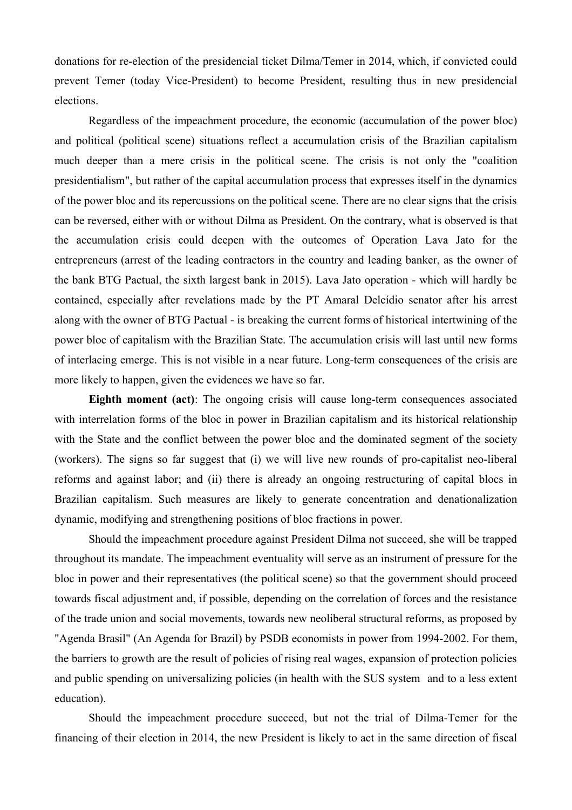donations for re-election of the presidencial ticket Dilma/Temer in 2014, which, if convicted could prevent Temer (today Vice-President) to become President, resulting thus in new presidencial elections.

Regardless of the impeachment procedure, the economic (accumulation of the power bloc) and political (political scene) situations reflect a accumulation crisis of the Brazilian capitalism much deeper than a mere crisis in the political scene. The crisis is not only the "coalition presidentialism", but rather of the capital accumulation process that expresses itself in the dynamics of the power bloc and its repercussions on the political scene. There are no clear signs that the crisis can be reversed, either with or without Dilma as President. On the contrary, what is observed is that the accumulation crisis could deepen with the outcomes of Operation Lava Jato for the entrepreneurs (arrest of the leading contractors in the country and leading banker, as the owner of the bank BTG Pactual, the sixth largest bank in 2015). Lava Jato operation - which will hardly be contained, especially after revelations made by the PT Amaral Delcídio senator after his arrest along with the owner of BTG Pactual - is breaking the current forms of historical intertwining of the power bloc of capitalism with the Brazilian State. The accumulation crisis will last until new forms of interlacing emerge. This is not visible in a near future. Long-term consequences of the crisis are more likely to happen, given the evidences we have so far.

**Eighth moment (act)**: The ongoing crisis will cause long-term consequences associated with interrelation forms of the bloc in power in Brazilian capitalism and its historical relationship with the State and the conflict between the power bloc and the dominated segment of the society (workers). The signs so far suggest that (i) we will live new rounds of pro-capitalist neo-liberal reforms and against labor; and (ii) there is already an ongoing restructuring of capital blocs in Brazilian capitalism. Such measures are likely to generate concentration and denationalization dynamic, modifying and strengthening positions of bloc fractions in power.

Should the impeachment procedure against President Dilma not succeed, she will be trapped throughout its mandate. The impeachment eventuality will serve as an instrument of pressure for the bloc in power and their representatives (the political scene) so that the government should proceed towards fiscal adjustment and, if possible, depending on the correlation of forces and the resistance of the trade union and social movements, towards new neoliberal structural reforms, as proposed by "Agenda Brasil" (An Agenda for Brazil) by PSDB economists in power from 1994-2002. For them, the barriers to growth are the result of policies of rising real wages, expansion of protection policies and public spending on universalizing policies (in health with the SUS system and to a less extent education).

Should the impeachment procedure succeed, but not the trial of Dilma-Temer for the financing of their election in 2014, the new President is likely to act in the same direction of fiscal